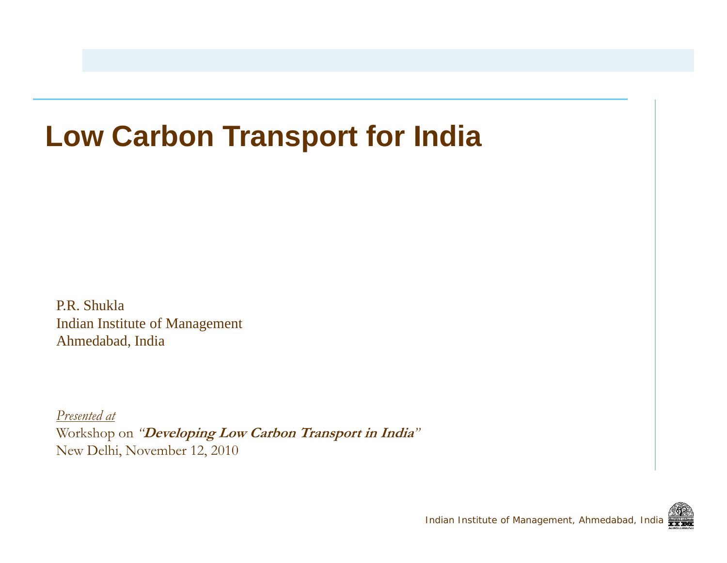### **Low Carbon Transport for India**

P.R. ShuklaIndian Institute of Management Ahmedabad, India

*Presented at*  Workshop on *"***Developing Low Carbon Transport in India***"* New Delhi, November 12, 2010

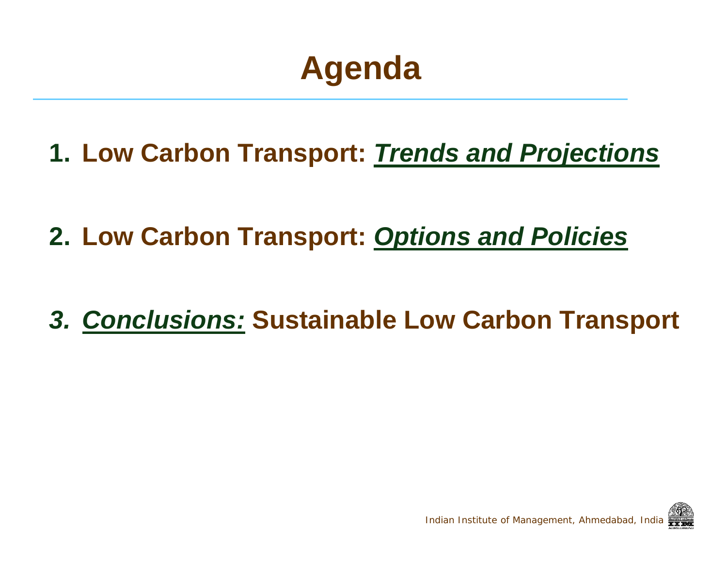## **Agenda**

**1. Low Carbon Transport:** *Trends and Projections*

**2. Low Carbon Transport:** *Options and Policies*

*3. Conclusions:* **Sustainable Low Carbon Transport**

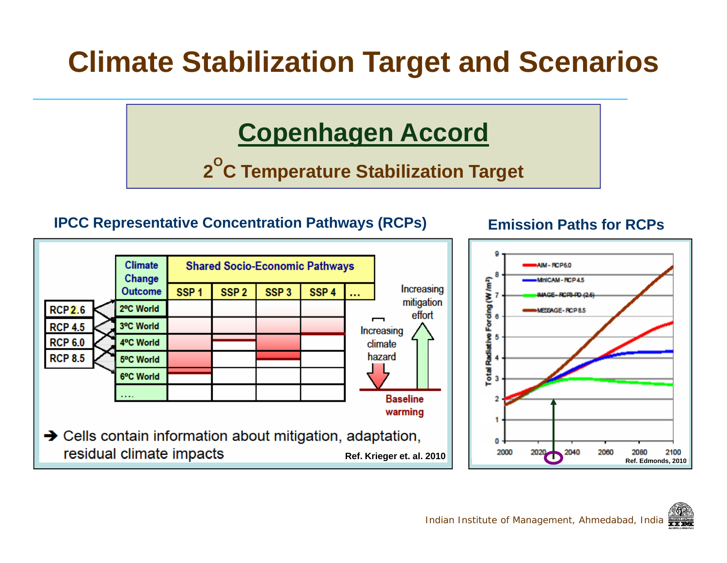### **Climate Stabilization Target and Scenarios**

#### **Copenhagen Accord**

**2 OC Temperature Stabilization Target C**

#### **IPCC Representative Concentration Pathways (RCPs) Emission Paths for RCPs**

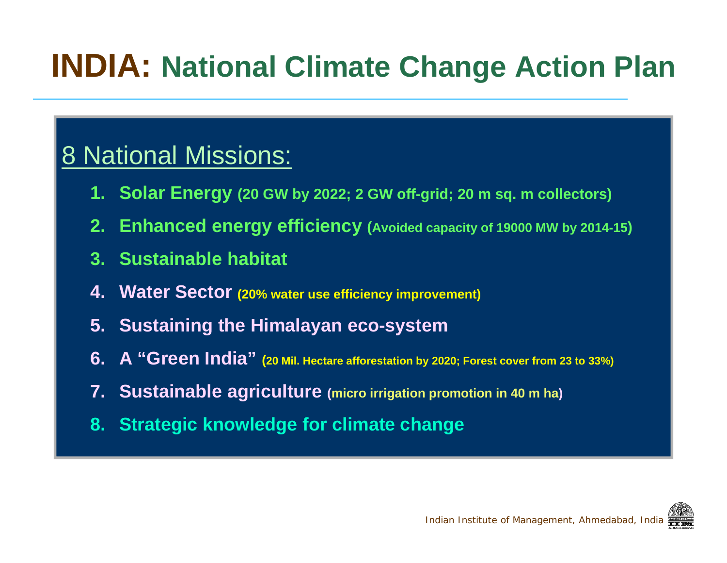## **INDIA: National Climate Change Action Plan**

#### 8 National Missions:

- **1. Solar Energy (20 GW by 2022; 2 GW off-grid; 20 m sq. m collectors)**
- **2. Enhanced energy efficiency (Avoided capacity of 19000 MW by 2014-15)**
- **3. Sustainable habitat**
- **4. Water Sector (20% water use efficiency improvement)**
- **5. Sustaining the Himalayan eco-system**
- **6. A "Green India" (20 Mil. Hectare afforestation by 2020; Forest cover from 23 to 33%)**
- **7. S t i bl i lt Sustainable agriculture (micro irrigation promotion in 40 m ha)**
- **8. Strategic knowledge for climate change**

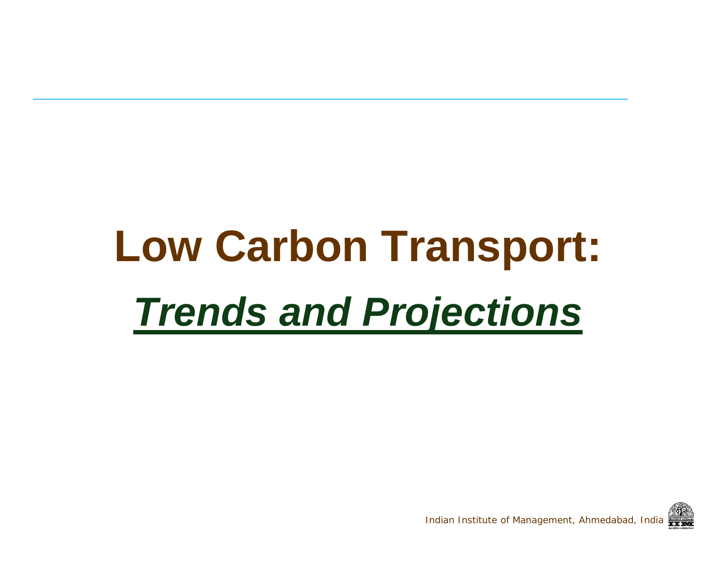# **Low Carbon Transport:** *Trends and Projections*

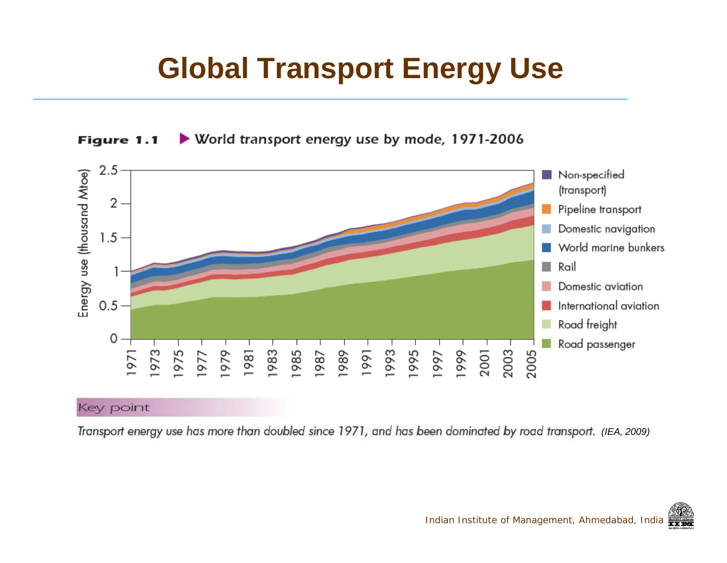### **Global Transport Energy Use**





Transport energy use has more than doubled since 1971, and has been dominated by road transport. (IEA, 2009)

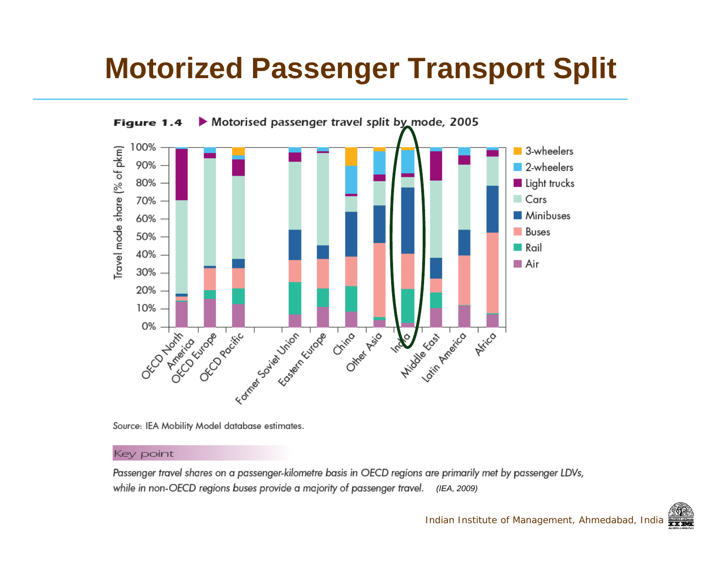### **Motorized Passenger Transport Split**



Source: IEA Mobility Model database estimates.

#### Key point

Passenger travel shares on a passenger-kilometre basis in OECD regions are primarily met by passenger LDVs, while in non-OECD regions buses provide a majority of passenger travel. (IEA, 2009)

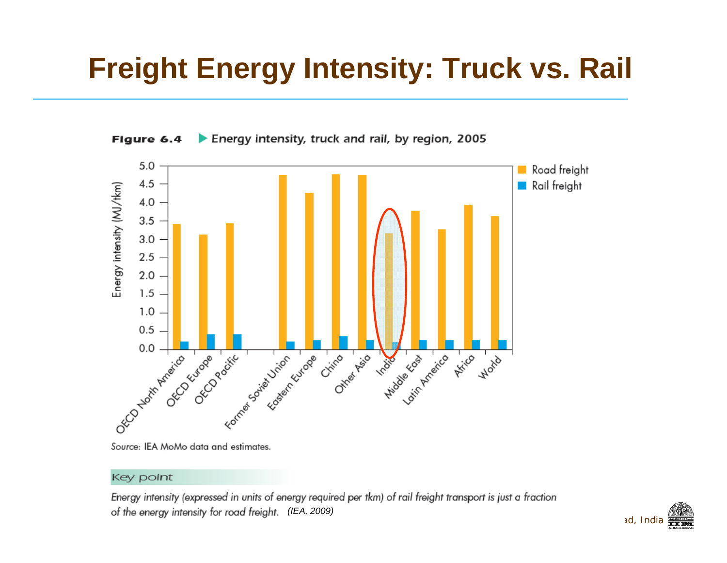### **Freight Energy Intensity: Truck vs. Rail**





Source: IEA MoMo data and estimates.

#### Key point

Energy intensity (expressed in units of energy required per tkm) of rail freight transport is just a fraction *(IEA, 2009)*

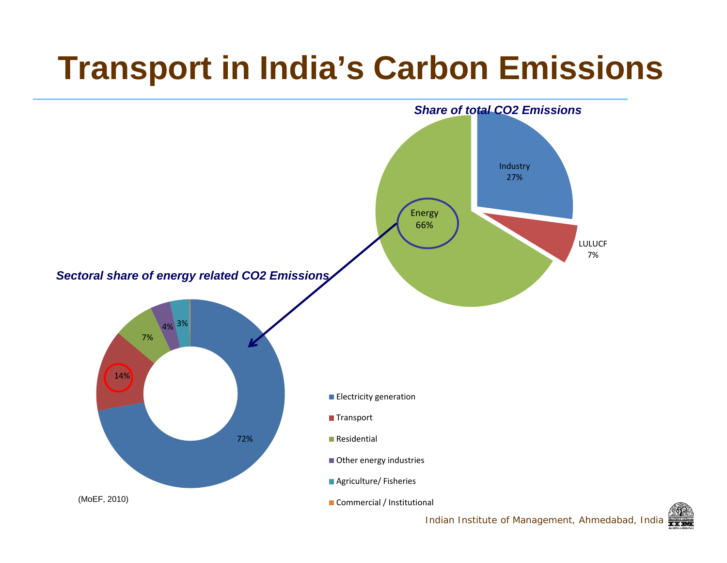## **Transport in India's Carbon Emissions**



Indian Institute of Management, Ahmedabad, India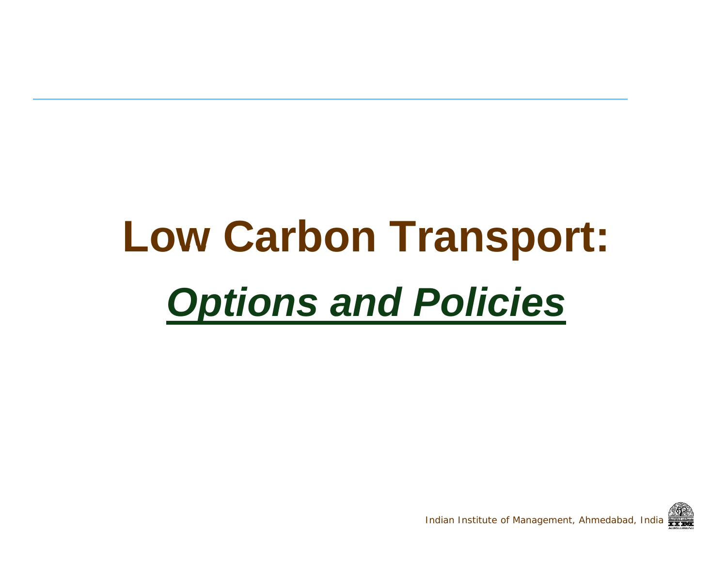## **Low Carbon Transport:** <u>Options and Policies</u> *ns* and Policies

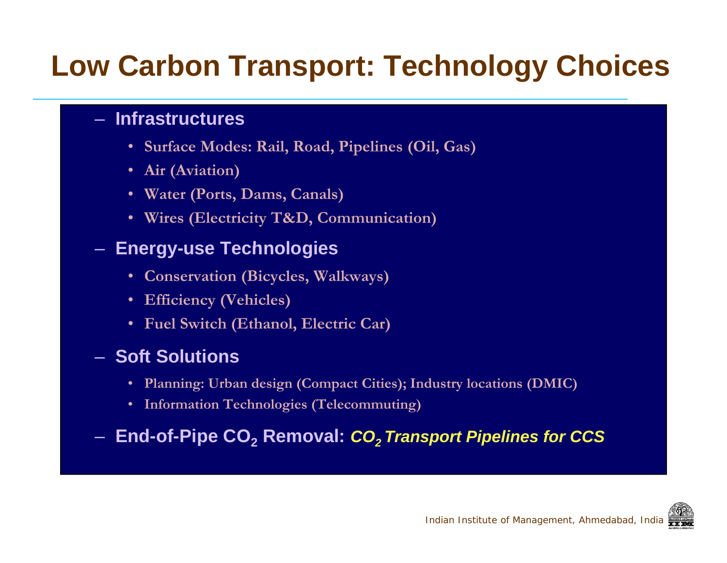### **Low Carbon Transport: Technology Choices**

#### – **Infrastructures**

- **Surface Modes: Rail, Road, Pipelines (Oil, Gas)**
- **Air (Aviation)**
- **Water (Ports, Dams, Canals)**
- **Wires (Electricity T&D, Communication)**

#### $-$  Energy-use Technologies

- **Conservation (Bicycles, Walkways)**
- **Efficiency (Vehicles)**
- **Fuel Switch (Ethanol, Electric Car)**

#### – **Soft Solutions**

- **Planning: Urban design (Compact Cities); Industry locations (DMIC) locations**
- **Information Technologies (Telecommuting)**

–**End-of-Pipe CO 2 Removal:** *CO2 Transport Pipelines for CCS*

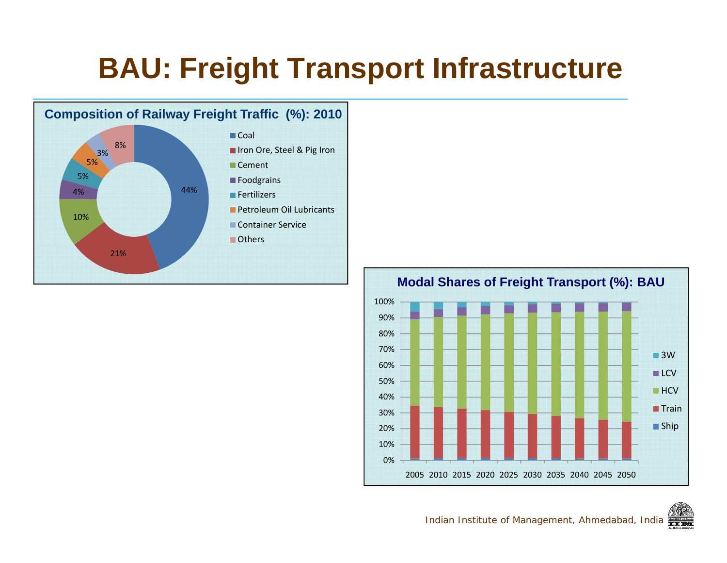### **BAU: Freight Transport Infrastructure**





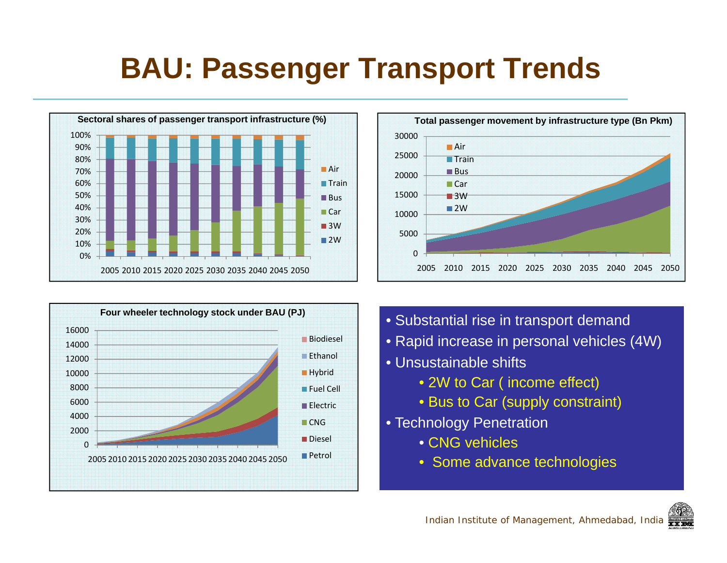### **BAU: Passenger Transport Trends**







- 
- Rapid increase in personal vehicles (4W)
- Unsustainable shifts
	- 2W to Car ( income effect)
	- Bus to Car (supply constraint)
- Technology Penetration
	- CNG vehicles
	- Some advance technologies

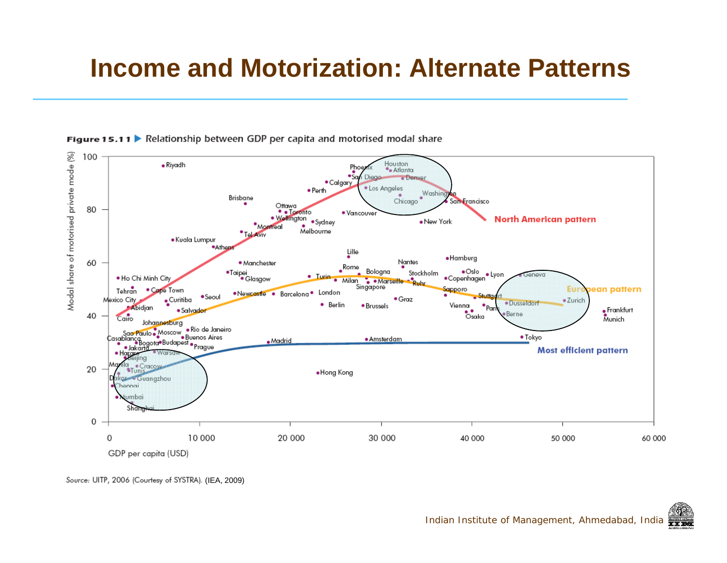#### **Income and Motorization: Alternate Patterns**





Source: UITP, 2006 (Courtesy of SYSTRA). (IEA, 2009)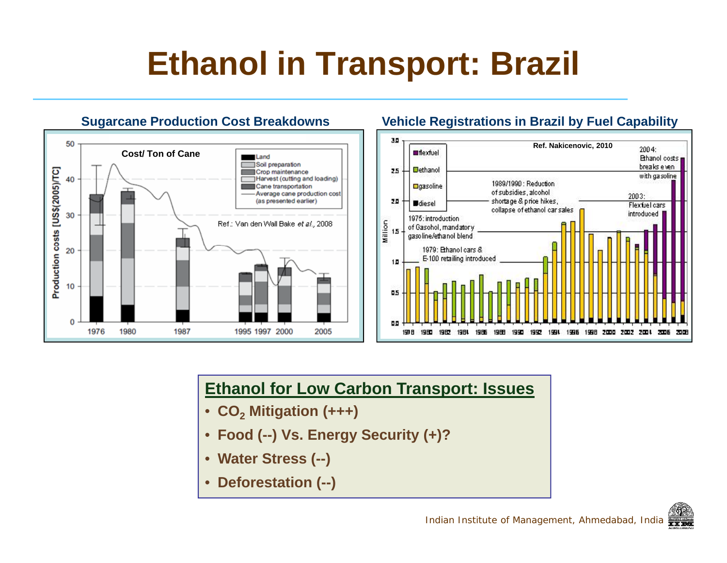## **Ethanol in Transport: Brazil**



#### **Vehicle Registrations in Brazil by Fuel Capability**



#### **Ethanol for Low Carbon Transport: Issues Issues**

- **CO 2 Mitigation (+++)**
- **Food (--) Vs. Energy Security (+)?**
- **Water Stress ( ) (--)**
- **Deforestation (--)**

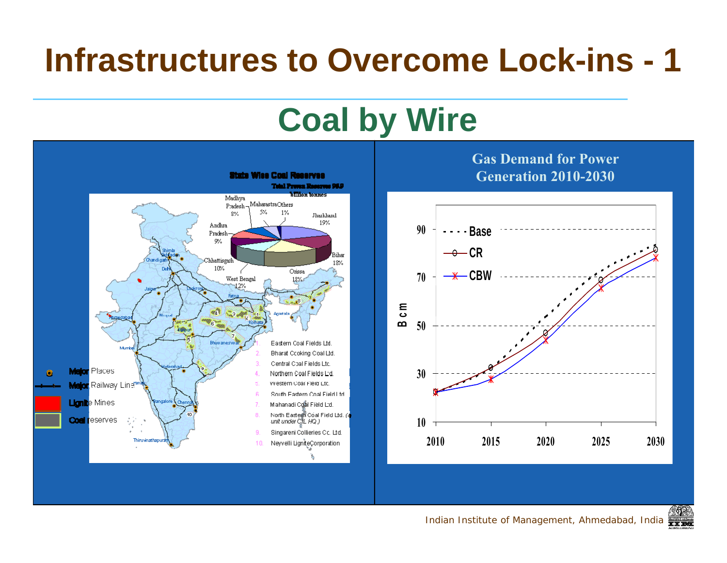## **Infrastructures to Overcome Lock-ins - 1**

## **Coal by Wire**



**Gas Demand for Power** 



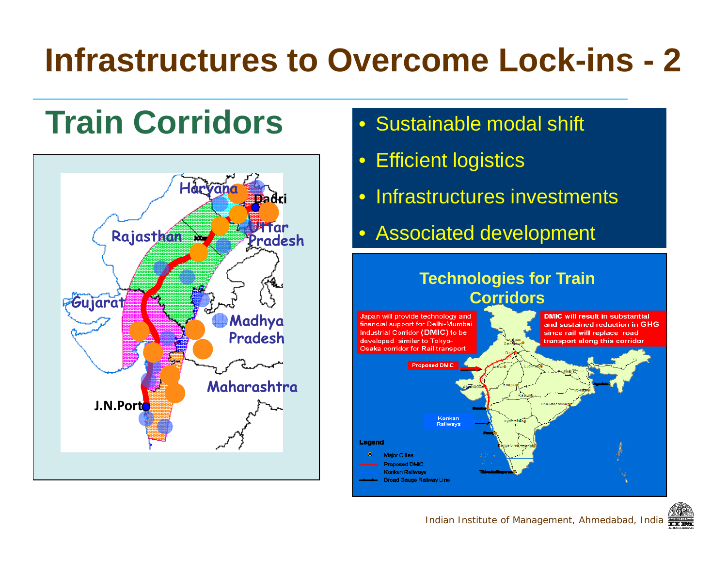## **Infrastructures to Overcome Lock-ins - 2**

## **Train Corridors** • Sustainable modal shift



- 
- $\bullet$ Efficient logistics
- Infrastructures investments
- Associated development

## **Technologies for Train**



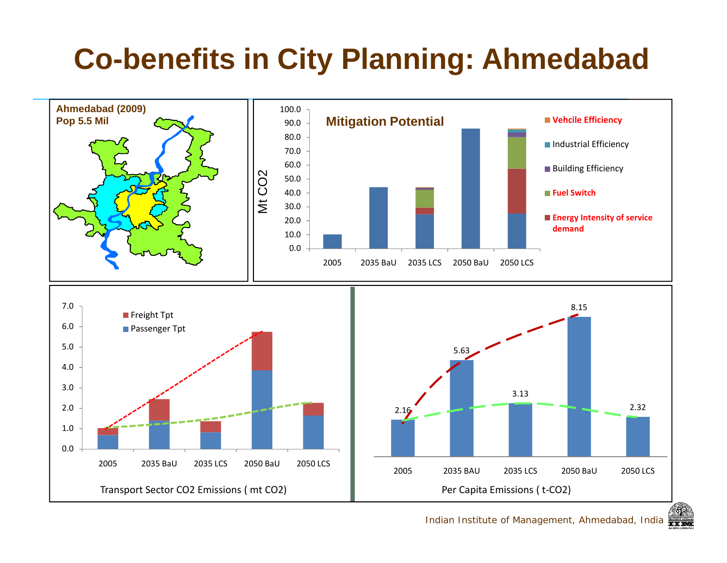### **Co-benefits in City Planning: Ahmedabad**



Indian Institute of Management, Ahmedabad, India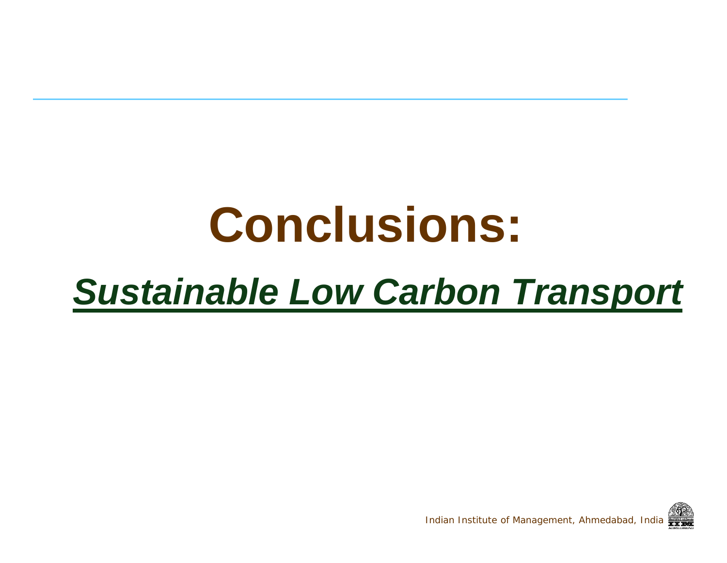# **Conclusions:**

## *Sustainable Low Carbon Transport*

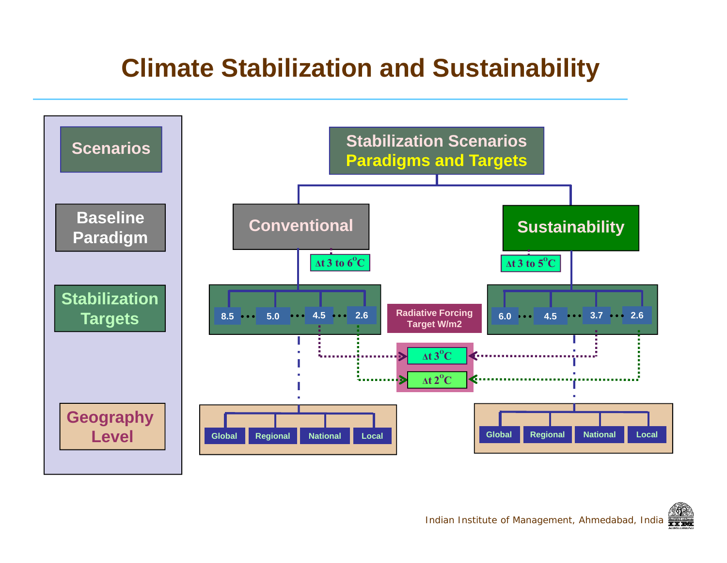#### **Climate Stabilization and Sustainability**

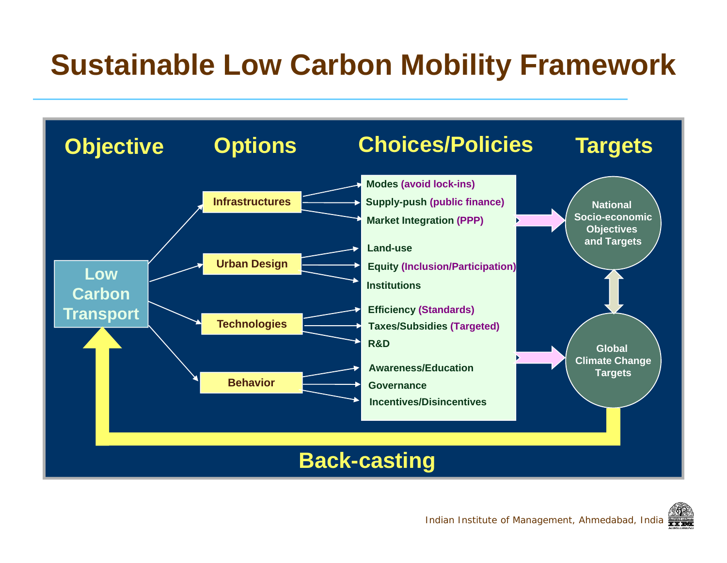### **Sustainable Low Carbon Mobility Framework**



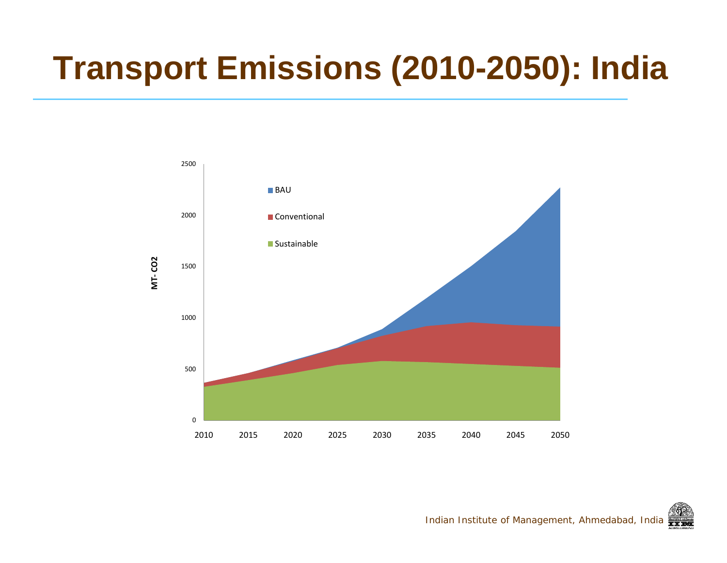## **Transport Emissions (2010-2050): India**

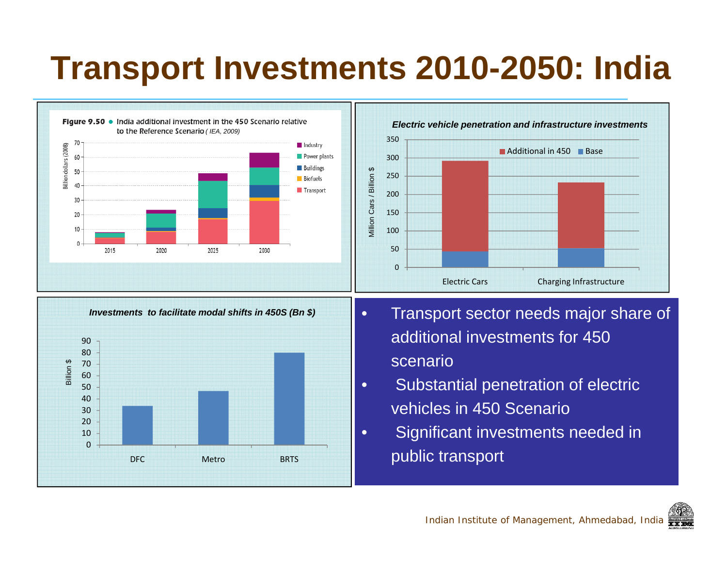## **Transport Investments 2010-2050: India**



Metro BRTS

0

DFC

 Significant investments needed in s a settle that public transport